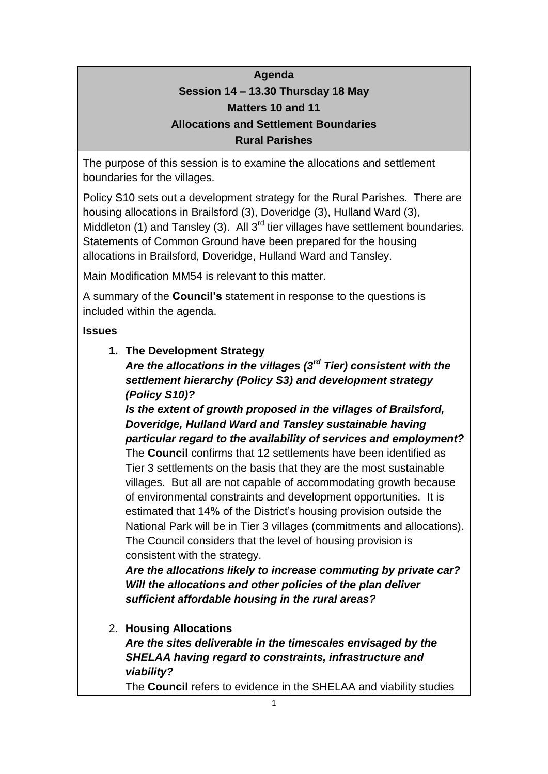# **Agenda Session 14 – 13.30 Thursday 18 May Matters 10 and 11 Allocations and Settlement Boundaries Rural Parishes**

The purpose of this session is to examine the allocations and settlement boundaries for the villages.

Policy S10 sets out a development strategy for the Rural Parishes. There are housing allocations in Brailsford (3), Doveridge (3), Hulland Ward (3), Middleton (1) and Tansley (3). All  $3^{rd}$  tier villages have settlement boundaries. Statements of Common Ground have been prepared for the housing allocations in Brailsford, Doveridge, Hulland Ward and Tansley.

Main Modification MM54 is relevant to this matter.

A summary of the **Council's** statement in response to the questions is included within the agenda.

### **Issues**

**1. The Development Strategy**

*Are the allocations in the villages (3rd Tier) consistent with the settlement hierarchy (Policy S3) and development strategy (Policy S10)?*

*Is the extent of growth proposed in the villages of Brailsford, Doveridge, Hulland Ward and Tansley sustainable having particular regard to the availability of services and employment?*

The **Council** confirms that 12 settlements have been identified as Tier 3 settlements on the basis that they are the most sustainable villages. But all are not capable of accommodating growth because of environmental constraints and development opportunities. It is estimated that 14% of the District's housing provision outside the National Park will be in Tier 3 villages (commitments and allocations). The Council considers that the level of housing provision is consistent with the strategy.

*Are the allocations likely to increase commuting by private car? Will the allocations and other policies of the plan deliver sufficient affordable housing in the rural areas?*

2. **Housing Allocations** *Are the sites deliverable in the timescales envisaged by the SHELAA having regard to constraints, infrastructure and viability?* The **Council** refers to evidence in the SHELAA and viability studies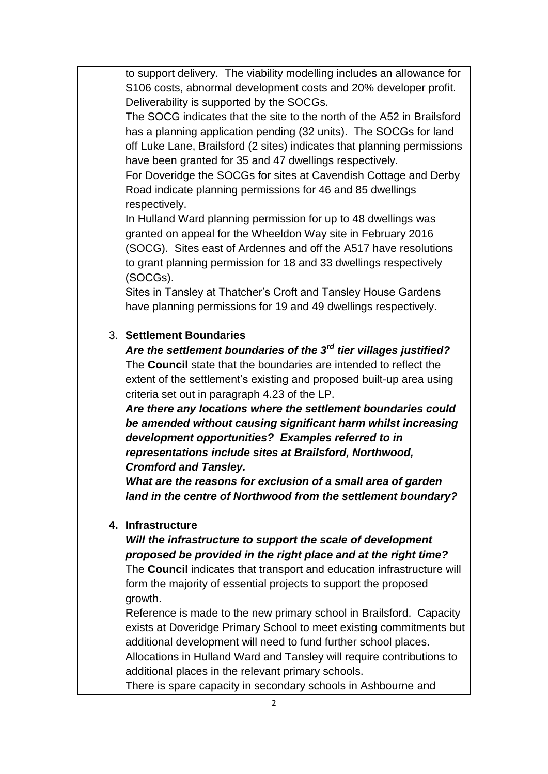to support delivery. The viability modelling includes an allowance for S106 costs, abnormal development costs and 20% developer profit. Deliverability is supported by the SOCGs.

The SOCG indicates that the site to the north of the A52 in Brailsford has a planning application pending (32 units). The SOCGs for land off Luke Lane, Brailsford (2 sites) indicates that planning permissions have been granted for 35 and 47 dwellings respectively.

For Doveridge the SOCGs for sites at Cavendish Cottage and Derby Road indicate planning permissions for 46 and 85 dwellings respectively.

In Hulland Ward planning permission for up to 48 dwellings was granted on appeal for the Wheeldon Way site in February 2016 (SOCG). Sites east of Ardennes and off the A517 have resolutions to grant planning permission for 18 and 33 dwellings respectively (SOCGs).

Sites in Tansley at Thatcher's Croft and Tansley House Gardens have planning permissions for 19 and 49 dwellings respectively.

#### 3. **Settlement Boundaries**

*Are the settlement boundaries of the 3rd tier villages justified?* The **Council** state that the boundaries are intended to reflect the extent of the settlement's existing and proposed built-up area using criteria set out in paragraph 4.23 of the LP.

*Are there any locations where the settlement boundaries could be amended without causing significant harm whilst increasing development opportunities? Examples referred to in representations include sites at Brailsford, Northwood, Cromford and Tansley.*

*What are the reasons for exclusion of a small area of garden land in the centre of Northwood from the settlement boundary?*

#### **4. Infrastructure**

#### *Will the infrastructure to support the scale of development proposed be provided in the right place and at the right time?*

The **Council** indicates that transport and education infrastructure will form the majority of essential projects to support the proposed growth.

Reference is made to the new primary school in Brailsford. Capacity exists at Doveridge Primary School to meet existing commitments but additional development will need to fund further school places.

Allocations in Hulland Ward and Tansley will require contributions to additional places in the relevant primary schools.

There is spare capacity in secondary schools in Ashbourne and